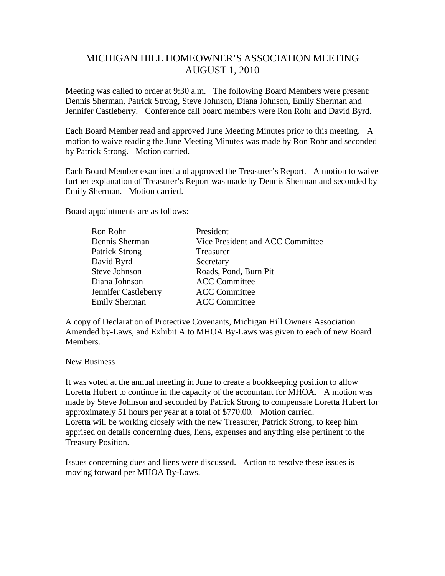# MICHIGAN HILL HOMEOWNER'S ASSOCIATION MEETING AUGUST 1, 2010

Meeting was called to order at 9:30 a.m. The following Board Members were present: Dennis Sherman, Patrick Strong, Steve Johnson, Diana Johnson, Emily Sherman and Jennifer Castleberry. Conference call board members were Ron Rohr and David Byrd.

Each Board Member read and approved June Meeting Minutes prior to this meeting. A motion to waive reading the June Meeting Minutes was made by Ron Rohr and seconded by Patrick Strong. Motion carried.

Each Board Member examined and approved the Treasurer's Report. A motion to waive further explanation of Treasurer's Report was made by Dennis Sherman and seconded by Emily Sherman. Motion carried.

Board appointments are as follows:

| Ron Rohr              | President                        |
|-----------------------|----------------------------------|
| Dennis Sherman        | Vice President and ACC Committee |
| <b>Patrick Strong</b> | Treasurer                        |
| David Byrd            | Secretary                        |
| Steve Johnson         | Roads, Pond, Burn Pit            |
| Diana Johnson         | <b>ACC Committee</b>             |
| Jennifer Castleberry  | <b>ACC Committee</b>             |
| <b>Emily Sherman</b>  | <b>ACC Committee</b>             |

A copy of Declaration of Protective Covenants, Michigan Hill Owners Association Amended by-Laws, and Exhibit A to MHOA By-Laws was given to each of new Board Members.

#### New Business

It was voted at the annual meeting in June to create a bookkeeping position to allow Loretta Hubert to continue in the capacity of the accountant for MHOA. A motion was made by Steve Johnson and seconded by Patrick Strong to compensate Loretta Hubert for approximately 51 hours per year at a total of \$770.00. Motion carried. Loretta will be working closely with the new Treasurer, Patrick Strong, to keep him apprised on details concerning dues, liens, expenses and anything else pertinent to the Treasury Position.

Issues concerning dues and liens were discussed. Action to resolve these issues is moving forward per MHOA By-Laws.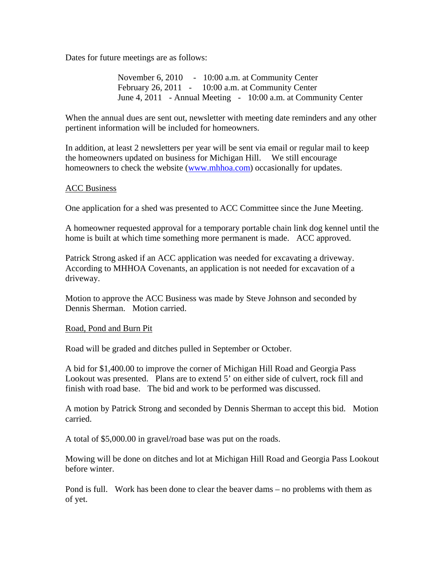Dates for future meetings are as follows:

November 6, 2010 - 10:00 a.m. at Community Center February 26, 2011 - 10:00 a.m. at Community Center June 4, 2011 - Annual Meeting - 10:00 a.m. at Community Center

When the annual dues are sent out, newsletter with meeting date reminders and any other pertinent information will be included for homeowners.

In addition, at least 2 newsletters per year will be sent via email or regular mail to keep the homeowners updated on business for Michigan Hill. We still encourage homeowners to check the website (www.mhhoa.com) occasionally for updates.

## ACC Business

One application for a shed was presented to ACC Committee since the June Meeting.

A homeowner requested approval for a temporary portable chain link dog kennel until the home is built at which time something more permanent is made. ACC approved.

Patrick Strong asked if an ACC application was needed for excavating a driveway. According to MHHOA Covenants, an application is not needed for excavation of a driveway.

Motion to approve the ACC Business was made by Steve Johnson and seconded by Dennis Sherman. Motion carried.

## Road, Pond and Burn Pit

Road will be graded and ditches pulled in September or October.

A bid for \$1,400.00 to improve the corner of Michigan Hill Road and Georgia Pass Lookout was presented. Plans are to extend 5' on either side of culvert, rock fill and finish with road base. The bid and work to be performed was discussed.

A motion by Patrick Strong and seconded by Dennis Sherman to accept this bid. Motion carried.

A total of \$5,000.00 in gravel/road base was put on the roads.

Mowing will be done on ditches and lot at Michigan Hill Road and Georgia Pass Lookout before winter.

Pond is full. Work has been done to clear the beaver dams – no problems with them as of yet.